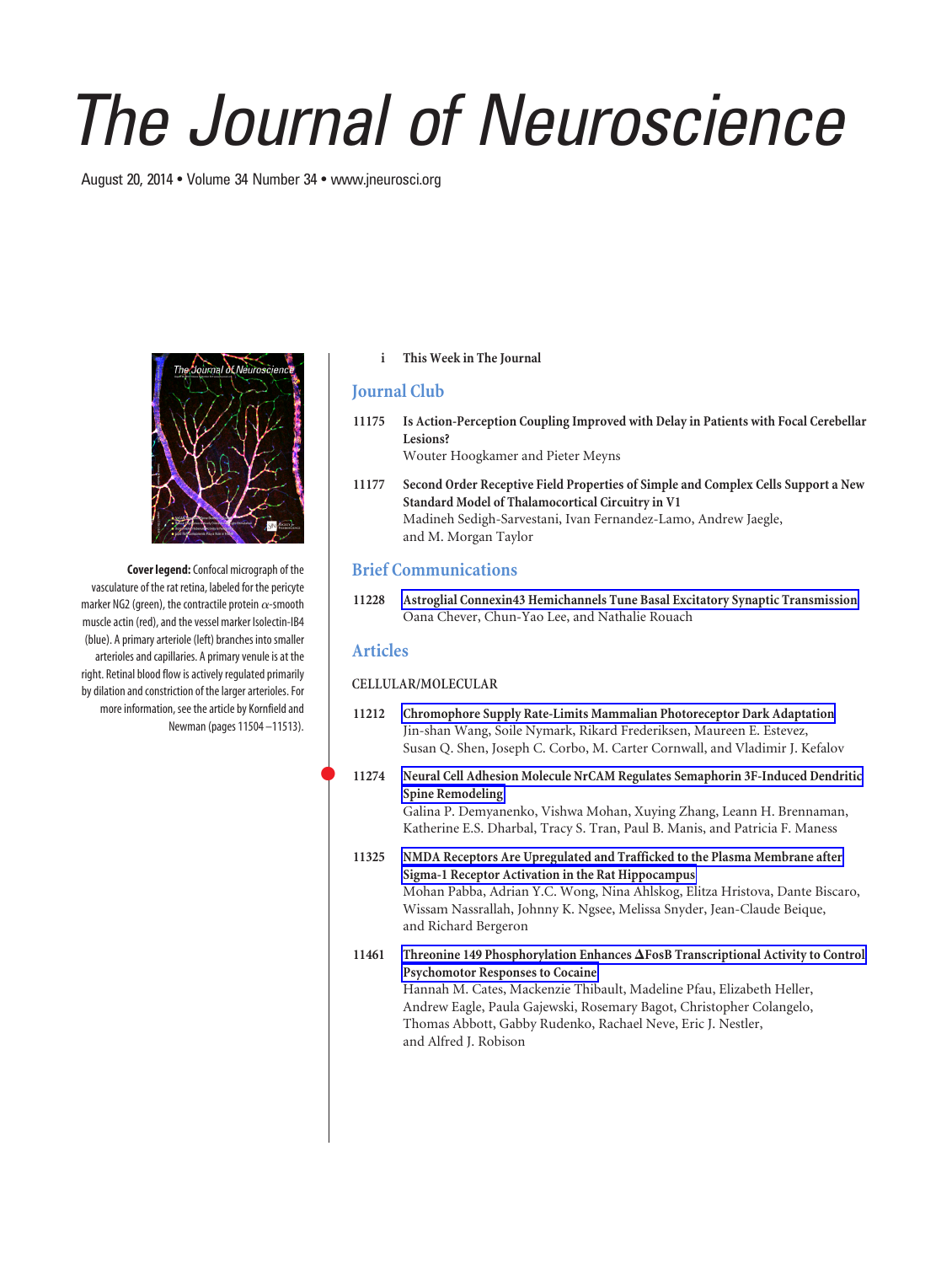# *The Journal of Neuroscience*

August 20, 2014 • Volume 34 Number 34 • www.jneurosci.org



**Cover legend:**Confocal micrograph of the vasculature of the rat retina, labeled for the pericyte marker NG2 (green), the contractile protein  $\alpha$ -smooth muscle actin (red), and the vessel marker Isolectin-IB4 (blue). A primary arteriole (left) branches into smaller arterioles and capillaries. A primary venule is at the right. Retinal blood flow is actively regulated primarily by dilation and constriction of the larger arterioles. For more information, see the article by Kornfield and Newman (pages 11504 –11513).

#### **i This Week in The Journal**

# **Journal Club**

- **11175 Is Action-Perception Coupling Improved with Delay in Patients with Focal Cerebellar Lesions?** Wouter Hoogkamer and Pieter Meyns
- **11177 Second Order Receptive Field Properties of Simple and Complex Cells Support a New Standard Model of Thalamocortical Circuitry in V1** Madineh Sedigh-Sarvestani, Ivan Fernandez-Lamo, Andrew Jaegle, and M. Morgan Taylor

## **Brief Communications**

**11228 Astroglial Connexin43 Hemichannels Tune Basal Excitatory Synaptic Transmission** Oana Chever, Chun-Yao Lee, and Nathalie Rouach

## **Articles**

 $\bullet$ 

#### **CELLULAR/MOLECULAR**

- **11212 Chromophore Supply Rate-Limits Mammalian Photoreceptor Dark Adaptation** Jin-shan Wang, Soile Nymark, Rikard Frederiksen, Maureen E. Estevez, Susan Q. Shen, Joseph C. Corbo, M. Carter Cornwall, and Vladimir J. Kefalov
- **11274 Neural Cell Adhesion Molecule NrCAM Regulates Semaphorin 3F-Induced Dendritic Spine Remodeling**

Galina P. Demyanenko, Vishwa Mohan, Xuying Zhang, Leann H. Brennaman, Katherine E.S. Dharbal, Tracy S. Tran, Paul B. Manis, and Patricia F. Maness

- **11325 NMDA Receptors Are Upregulated and Trafficked to the Plasma Membrane after Sigma-1 Receptor Activation in the Rat Hippocampus** Mohan Pabba, Adrian Y.C. Wong, Nina Ahlskog, Elitza Hristova, Dante Biscaro, Wissam Nassrallah, Johnny K. Ngsee, Melissa Snyder, Jean-Claude Beique, and Richard Bergeron
- 11461 Threonine 149 Phosphorylation Enhances  $\Delta$  FosB Transcriptional Activity to Control **Psychomotor Responses to Cocaine** Hannah M. Cates, Mackenzie Thibault, Madeline Pfau, Elizabeth Heller, Andrew Eagle, Paula Gajewski, Rosemary Bagot, Christopher Colangelo, Thomas Abbott, Gabby Rudenko, Rachael Neve, Eric J. Nestler, and Alfred J. Robison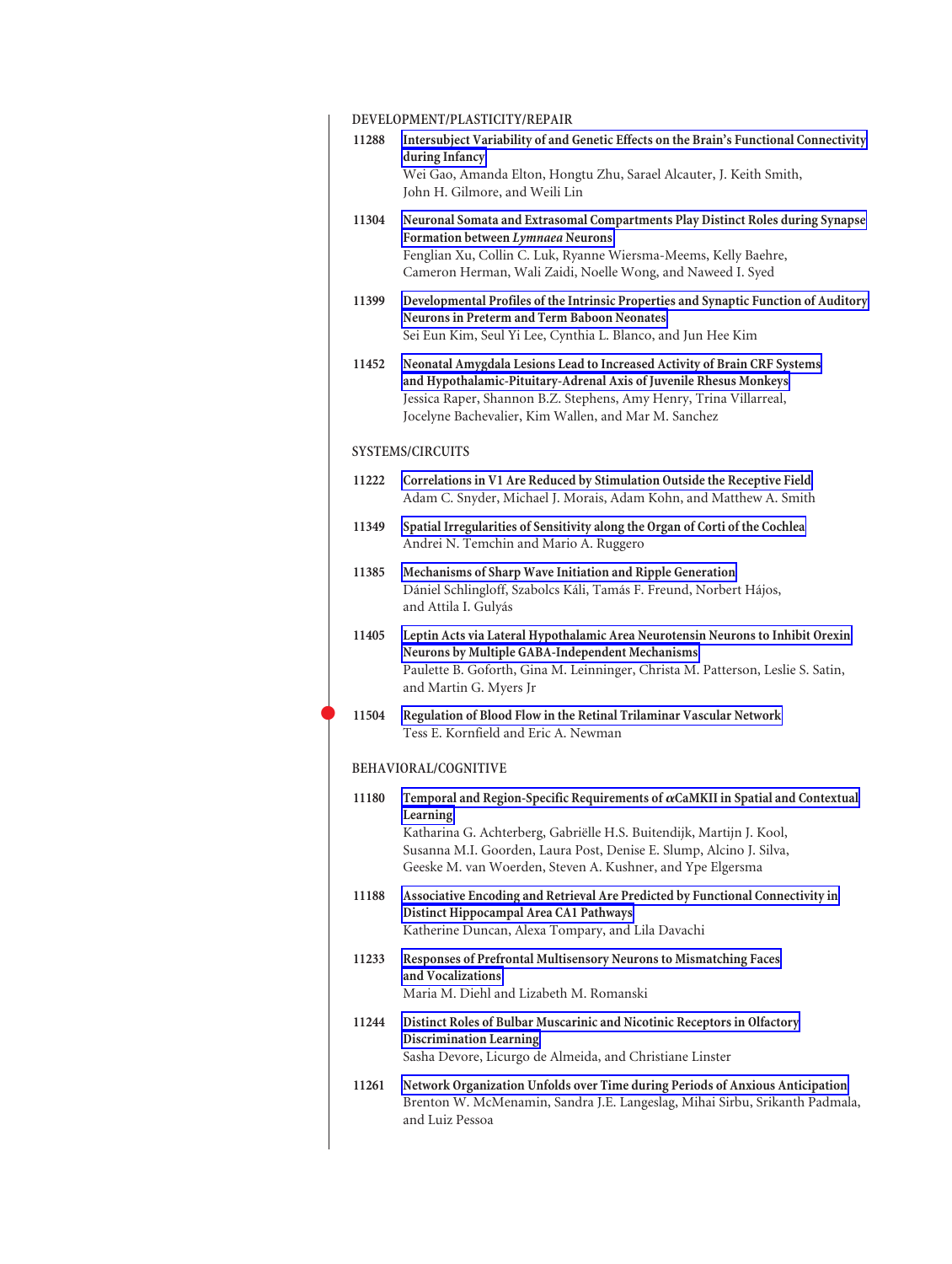## **DEVELOPMENT/PLASTICITY/REPAIR**

 $\bullet$ 

|                      | DE VELOI MENTALEAOTIVITTALEI AIR                                                                                                                                                                                                                                                                                |
|----------------------|-----------------------------------------------------------------------------------------------------------------------------------------------------------------------------------------------------------------------------------------------------------------------------------------------------------------|
| 11288                | Intersubject Variability of and Genetic Effects on the Brain's Functional Connectivity<br>during Infancy                                                                                                                                                                                                        |
|                      | Wei Gao, Amanda Elton, Hongtu Zhu, Sarael Alcauter, J. Keith Smith,<br>John H. Gilmore, and Weili Lin                                                                                                                                                                                                           |
| 11304                | Neuronal Somata and Extrasomal Compartments Play Distinct Roles during Synapse<br>Formation between Lymnaea Neurons<br>Fenglian Xu, Collin C. Luk, Ryanne Wiersma-Meems, Kelly Baehre,<br>Cameron Herman, Wali Zaidi, Noelle Wong, and Naweed I. Syed                                                           |
| 11399                | Developmental Profiles of the Intrinsic Properties and Synaptic Function of Auditory<br>Neurons in Preterm and Term Baboon Neonates<br>Sei Eun Kim, Seul Yi Lee, Cynthia L. Blanco, and Jun Hee Kim                                                                                                             |
| 11452                | Neonatal Amygdala Lesions Lead to Increased Activity of Brain CRF Systems<br>and Hypothalamic-Pituitary-Adrenal Axis of Juvenile Rhesus Monkeys<br>Jessica Raper, Shannon B.Z. Stephens, Amy Henry, Trina Villarreal,<br>Jocelyne Bachevalier, Kim Wallen, and Mar M. Sanchez                                   |
|                      | <b>SYSTEMS/CIRCUITS</b>                                                                                                                                                                                                                                                                                         |
| 11222                | Correlations in V1 Are Reduced by Stimulation Outside the Receptive Field<br>Adam C. Snyder, Michael J. Morais, Adam Kohn, and Matthew A. Smith                                                                                                                                                                 |
| 11349                | Spatial Irregularities of Sensitivity along the Organ of Corti of the Cochlea<br>Andrei N. Temchin and Mario A. Ruggero                                                                                                                                                                                         |
| 11385                | Mechanisms of Sharp Wave Initiation and Ripple Generation<br>Dániel Schlingloff, Szabolcs Káli, Tamás F. Freund, Norbert Hájos,<br>and Attila I. Gulyás                                                                                                                                                         |
| 11405                | Leptin Acts via Lateral Hypothalamic Area Neurotensin Neurons to Inhibit Orexin<br>Neurons by Multiple GABA-Independent Mechanisms<br>Paulette B. Goforth, Gina M. Leinninger, Christa M. Patterson, Leslie S. Satin,<br>and Martin G. Myers Jr                                                                 |
| 11504                | Regulation of Blood Flow in the Retinal Trilaminar Vascular Network<br>Tess E. Kornfield and Eric A. Newman                                                                                                                                                                                                     |
| BEHAVIORAL/COGNITIVE |                                                                                                                                                                                                                                                                                                                 |
| 11180                | Temporal and Region-Specific Requirements of $\alpha$ CaMKII in Spatial and Contextual<br>Learning<br>Katharina G. Achterberg, Gabriëlle H.S. Buitendijk, Martijn J. Kool,<br>Susanna M.I. Goorden, Laura Post, Denise E. Slump, Alcino J. Silva,<br>Geeske M. van Woerden, Steven A. Kushner, and Ype Elgersma |
| 11188                | Associative Encoding and Retrieval Are Predicted by Functional Connectivity in<br>Distinct Hippocampal Area CA1 Pathways<br>Katherine Duncan, Alexa Tompary, and Lila Davachi                                                                                                                                   |
| 11233                | Responses of Prefrontal Multisensory Neurons to Mismatching Faces<br>and Vocalizations<br>Maria M. Diehl and Lizabeth M. Romanski                                                                                                                                                                               |
| 11244                | Distinct Roles of Bulbar Muscarinic and Nicotinic Receptors in Olfactory<br>Discrimination Learning<br>Sasha Devore, Licurgo de Almeida, and Christiane Linster                                                                                                                                                 |
| 11261                | Network Organization Unfolds over Time during Periods of Anxious Anticipation<br>Brenton W. McMenamin, Sandra J.E. Langeslag, Mihai Sirbu, Srikanth Padmala,<br>and Luiz Pessoa                                                                                                                                 |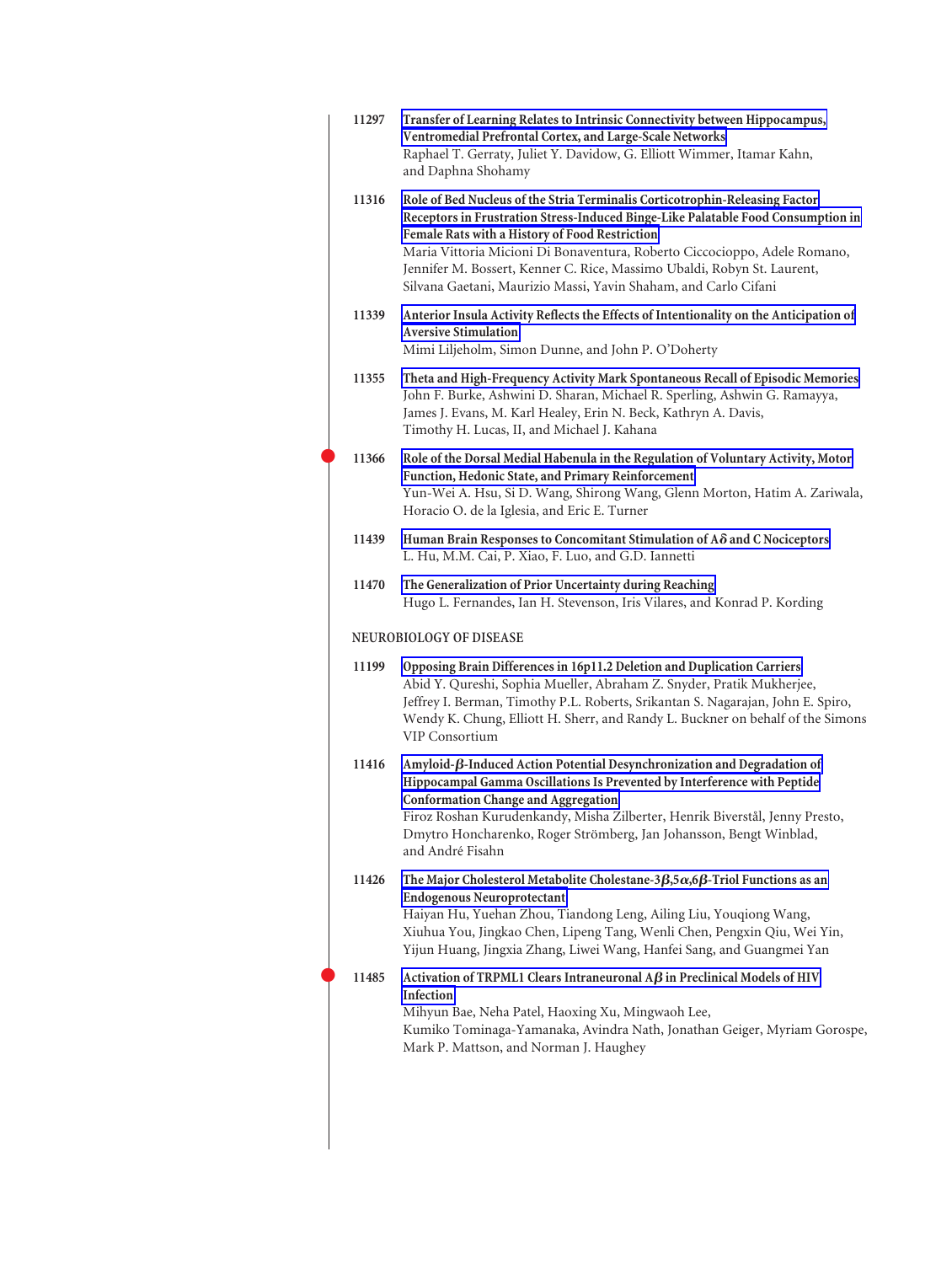| 11297                   | Transfer of Learning Relates to Intrinsic Connectivity between Hippocampus,<br>Ventromedial Prefrontal Cortex, and Large-Scale Networks<br>Raphael T. Gerraty, Juliet Y. Davidow, G. Elliott Wimmer, Itamar Kahn,<br>and Daphna Shohamy                                                                                                                                                                                                      |
|-------------------------|----------------------------------------------------------------------------------------------------------------------------------------------------------------------------------------------------------------------------------------------------------------------------------------------------------------------------------------------------------------------------------------------------------------------------------------------|
| 11316                   | Role of Bed Nucleus of the Stria Terminalis Corticotrophin-Releasing Factor<br>Receptors in Frustration Stress-Induced Binge-Like Palatable Food Consumption in<br>Female Rats with a History of Food Restriction<br>Maria Vittoria Micioni Di Bonaventura, Roberto Ciccocioppo, Adele Romano,<br>Jennifer M. Bossert, Kenner C. Rice, Massimo Ubaldi, Robyn St. Laurent,<br>Silvana Gaetani, Maurizio Massi, Yavin Shaham, and Carlo Cifani |
| 11339                   | Anterior Insula Activity Reflects the Effects of Intentionality on the Anticipation of<br><b>Aversive Stimulation</b><br>Mimi Liljeholm, Simon Dunne, and John P. O'Doherty                                                                                                                                                                                                                                                                  |
| 11355                   | Theta and High-Frequency Activity Mark Spontaneous Recall of Episodic Memories<br>John F. Burke, Ashwini D. Sharan, Michael R. Sperling, Ashwin G. Ramayya,<br>James J. Evans, M. Karl Healey, Erin N. Beck, Kathryn A. Davis,<br>Timothy H. Lucas, II, and Michael J. Kahana                                                                                                                                                                |
| 11366                   | Role of the Dorsal Medial Habenula in the Regulation of Voluntary Activity, Motor<br>Function, Hedonic State, and Primary Reinforcement<br>Yun-Wei A. Hsu, Si D. Wang, Shirong Wang, Glenn Morton, Hatim A. Zariwala,<br>Horacio O. de la Iglesia, and Eric E. Turner                                                                                                                                                                        |
| 11439                   | Human Brain Responses to Concomitant Stimulation of $A\delta$ and C Nociceptors<br>L. Hu, M.M. Cai, P. Xiao, F. Luo, and G.D. Iannetti                                                                                                                                                                                                                                                                                                       |
| 11470                   | The Generalization of Prior Uncertainty during Reaching<br>Hugo L. Fernandes, Ian H. Stevenson, Iris Vilares, and Konrad P. Kording                                                                                                                                                                                                                                                                                                          |
| NEUROBIOLOGY OF DISEASE |                                                                                                                                                                                                                                                                                                                                                                                                                                              |
| 11199                   | Opposing Brain Differences in 16p11.2 Deletion and Duplication Carriers<br>Abid Y. Qureshi, Sophia Mueller, Abraham Z. Snyder, Pratik Mukherjee,<br>Jeffrey I. Berman, Timothy P.L. Roberts, Srikantan S. Nagarajan, John E. Spiro,<br>Wendy K. Chung, Elliott H. Sherr, and Randy L. Buckner on behalf of the Simons<br><b>VIP Consortium</b>                                                                                               |
| 11416                   | Amyloid-ß-Induced Action Potential Desynchronization and Degradation of<br>Hippocampal Gamma Oscillations Is Prevented by Interference with Peptide<br><b>Conformation Change and Aggregation</b><br>Firoz Roshan Kurudenkandy, Misha Zilberter, Henrik Biverstål, Jenny Presto,<br>Dmytro Honcharenko, Roger Strömberg, Jan Johansson, Bengt Winblad,<br>and André Fisahn                                                                   |
| 11426                   | The Major Cholesterol Metabolite Cholestane- $3\beta$ , $5\alpha$ , $6\beta$ -Triol Functions as an<br><b>Endogenous Neuroprotectant</b><br>Haiyan Hu, Yuehan Zhou, Tiandong Leng, Ailing Liu, Youqiong Wang,<br>Xiuhua You, Jingkao Chen, Lipeng Tang, Wenli Chen, Pengxin Qiu, Wei Yin,<br>Yijun Huang, Jingxia Zhang, Liwei Wang, Hanfei Sang, and Guangmei Yan                                                                           |
| 11485                   | Activation of TRPML1 Clears Intraneuronal $\overrightarrow{AB}$ in Preclinical Models of HIV<br>Infection<br>Mihyun Bae, Neha Patel, Haoxing Xu, Mingwaoh Lee,<br>Kumiko Tominaga-Yamanaka, Avindra Nath, Jonathan Geiger, Myriam Gorospe,<br>Mark P. Mattson, and Norman J. Haughey                                                                                                                                                         |
|                         |                                                                                                                                                                                                                                                                                                                                                                                                                                              |